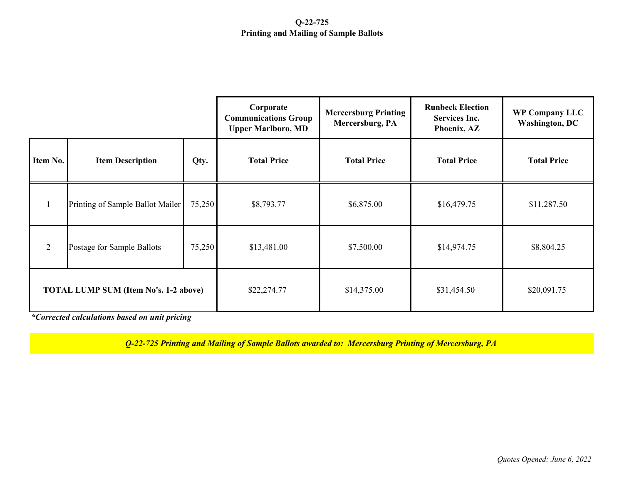## **Q-22-725 Printing and Mailing of Sample Ballots**

|                                              |                                  |        | Corporate<br><b>Communications Group</b><br><b>Upper Marlboro, MD</b> | <b>Mercersburg Printing</b><br>Mercersburg, PA | <b>Runbeck Election</b><br><b>Services Inc.</b><br>Phoenix, AZ | <b>WP Company LLC</b><br><b>Washington, DC</b> |
|----------------------------------------------|----------------------------------|--------|-----------------------------------------------------------------------|------------------------------------------------|----------------------------------------------------------------|------------------------------------------------|
| Item No.                                     | <b>Item Description</b>          | Qty.   | <b>Total Price</b>                                                    | <b>Total Price</b>                             | <b>Total Price</b>                                             | <b>Total Price</b>                             |
|                                              | Printing of Sample Ballot Mailer | 75,250 | \$8,793.77                                                            | \$6,875.00                                     | \$16,479.75                                                    | \$11,287.50                                    |
| $\overline{2}$                               | Postage for Sample Ballots       | 75,250 | \$13,481.00                                                           | \$7,500.00                                     | \$14,974.75                                                    | \$8,804.25                                     |
| <b>TOTAL LUMP SUM (Item No's. 1-2 above)</b> |                                  |        | \$22,274.77                                                           | \$14,375.00                                    | \$31,454.50                                                    | \$20,091.75                                    |

*\*Corrected calculations based on unit pricing*

*Q-22-725 Printing and Mailing of Sample Ballots awarded to: Mercersburg Printing of Mercersburg, PA*